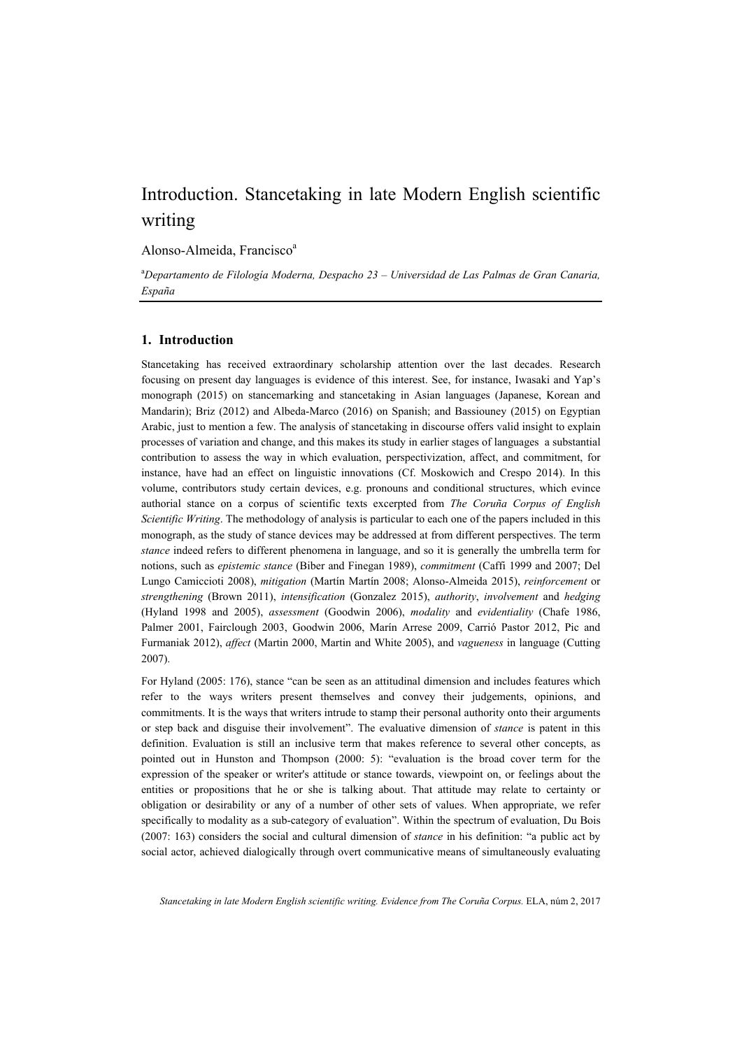# Introduction. Stancetaking in late Modern English scientific writing

Alonso-Almeida, Francisco<sup>a</sup>

a *Departamento de Filología Moderna, Despacho 23 – Universidad de Las Palmas de Gran Canaria, España* 

# **1. Introduction**

Stancetaking has received extraordinary scholarship attention over the last decades. Research focusing on present day languages is evidence of this interest. See, for instance, Iwasaki and Yap's monograph (2015) on stancemarking and stancetaking in Asian languages (Japanese, Korean and Mandarin); Briz (2012) and Albeda-Marco (2016) on Spanish; and Bassiouney (2015) on Egyptian Arabic, just to mention a few. The analysis of stancetaking in discourse offers valid insight to explain processes of variation and change, and this makes its study in earlier stages of languages a substantial contribution to assess the way in which evaluation, perspectivization, affect, and commitment, for instance, have had an effect on linguistic innovations (Cf. Moskowich and Crespo 2014). In this volume, contributors study certain devices, e.g. pronouns and conditional structures, which evince authorial stance on a corpus of scientific texts excerpted from *The Coruña Corpus of English Scientific Writing*. The methodology of analysis is particular to each one of the papers included in this monograph, as the study of stance devices may be addressed at from different perspectives. The term *stance* indeed refers to different phenomena in language, and so it is generally the umbrella term for notions, such as *epistemic stance* (Biber and Finegan 1989), *commitment* (Caffi 1999 and 2007; Del Lungo Camiccioti 2008), *mitigation* (Martín Martín 2008; Alonso-Almeida 2015), *reinforcement* or *strengthening* (Brown 2011), *intensification* (Gonzalez 2015), *authority*, *involvement* and *hedging* (Hyland 1998 and 2005), *assessment* (Goodwin 2006), *modality* and *evidentiality* (Chafe 1986, Palmer 2001, Fairclough 2003, Goodwin 2006, Marín Arrese 2009, Carrió Pastor 2012, Pic and Furmaniak 2012), *affect* (Martin 2000, Martin and White 2005), and *vagueness* in language (Cutting 2007).

For Hyland (2005: 176), stance "can be seen as an attitudinal dimension and includes features which refer to the ways writers present themselves and convey their judgements, opinions, and commitments. It is the ways that writers intrude to stamp their personal authority onto their arguments or step back and disguise their involvement". The evaluative dimension of *stance* is patent in this definition. Evaluation is still an inclusive term that makes reference to several other concepts, as pointed out in Hunston and Thompson (2000: 5): "evaluation is the broad cover term for the expression of the speaker or writer's attitude or stance towards, viewpoint on, or feelings about the entities or propositions that he or she is talking about. That attitude may relate to certainty or obligation or desirability or any of a number of other sets of values. When appropriate, we refer specifically to modality as a sub-category of evaluation". Within the spectrum of evaluation, Du Bois (2007: 163) considers the social and cultural dimension of *stance* in his definition: "a public act by social actor, achieved dialogically through overt communicative means of simultaneously evaluating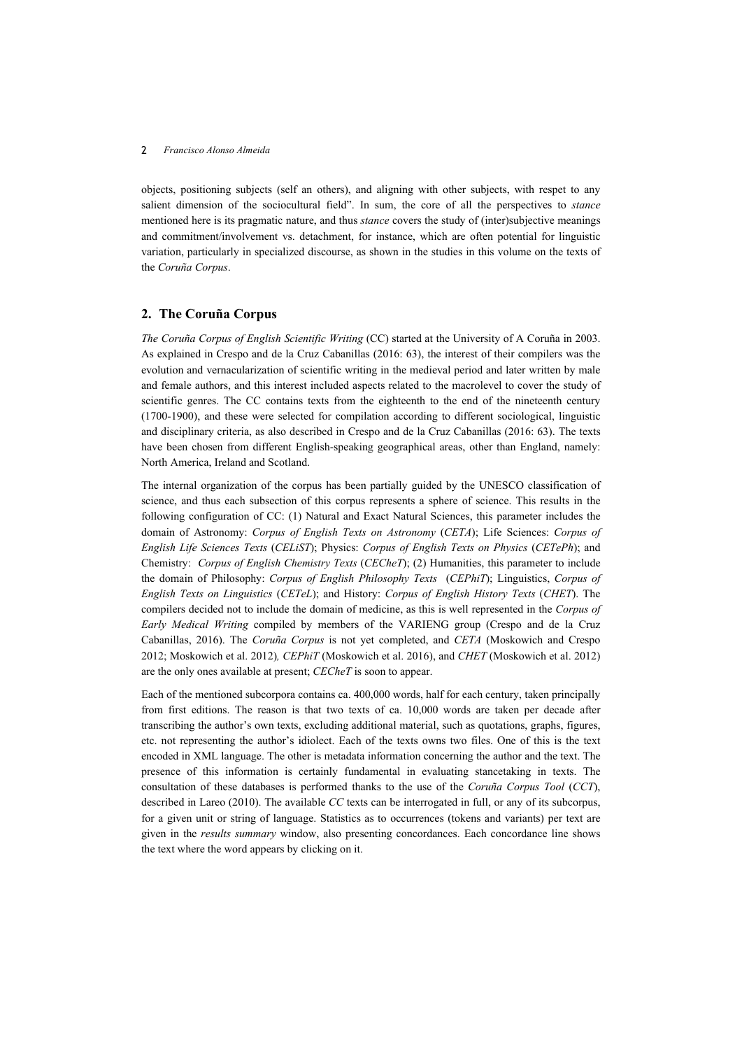objects, positioning subjects (self an others), and aligning with other subjects, with respet to any salient dimension of the sociocultural field". In sum, the core of all the perspectives to *stance* mentioned here is its pragmatic nature, and thus *stance* covers the study of (inter)subjective meanings and commitment/involvement vs. detachment, for instance, which are often potential for linguistic variation, particularly in specialized discourse, as shown in the studies in this volume on the texts of the *Coruña Corpus*.

# **2. The Coruña Corpus**

*The Coruña Corpus of English Scientific Writing* (CC) started at the University of A Coruña in 2003. As explained in Crespo and de la Cruz Cabanillas (2016: 63), the interest of their compilers was the evolution and vernacularization of scientific writing in the medieval period and later written by male and female authors, and this interest included aspects related to the macrolevel to cover the study of scientific genres. The CC contains texts from the eighteenth to the end of the nineteenth century (1700-1900), and these were selected for compilation according to different sociological, linguistic and disciplinary criteria, as also described in Crespo and de la Cruz Cabanillas (2016: 63). The texts have been chosen from different English-speaking geographical areas, other than England, namely: North America, Ireland and Scotland.

The internal organization of the corpus has been partially guided by the UNESCO classification of science, and thus each subsection of this corpus represents a sphere of science. This results in the following configuration of CC: (1) Natural and Exact Natural Sciences, this parameter includes the domain of Astronomy: *Corpus of English Texts on Astronomy* (*CETA*); Life Sciences: *Corpus of English Life Sciences Texts* (*CELiST*); Physics: *Corpus of English Texts on Physics* (*CETePh*); and Chemistry: *Corpus of English Chemistry Texts* (*CECheT*); (2) Humanities, this parameter to include the domain of Philosophy: *Corpus of English Philosophy Texts* (*CEPhiT*); Linguistics, *Corpus of English Texts on Linguistics* (*CETeL*); and History: *Corpus of English History Texts* (*CHET*). The compilers decided not to include the domain of medicine, as this is well represented in the *Corpus of Early Medical Writing* compiled by members of the VARIENG group (Crespo and de la Cruz Cabanillas, 2016). The *Coruña Corpus* is not yet completed, and *CETA* (Moskowich and Crespo 2012; Moskowich et al. 2012)*, CEPhiT* (Moskowich et al. 2016), and *CHET* (Moskowich et al. 2012) are the only ones available at present; *CECheT* is soon to appear.

Each of the mentioned subcorpora contains ca. 400,000 words, half for each century, taken principally from first editions. The reason is that two texts of ca. 10,000 words are taken per decade after transcribing the author's own texts, excluding additional material, such as quotations, graphs, figures, etc. not representing the author's idiolect. Each of the texts owns two files. One of this is the text encoded in XML language. The other is metadata information concerning the author and the text. The presence of this information is certainly fundamental in evaluating stancetaking in texts. The consultation of these databases is performed thanks to the use of the *Coruña Corpus Tool* (*CCT*), described in Lareo (2010). The available *CC* texts can be interrogated in full, or any of its subcorpus, for a given unit or string of language. Statistics as to occurrences (tokens and variants) per text are given in the *results summary* window, also presenting concordances. Each concordance line shows the text where the word appears by clicking on it.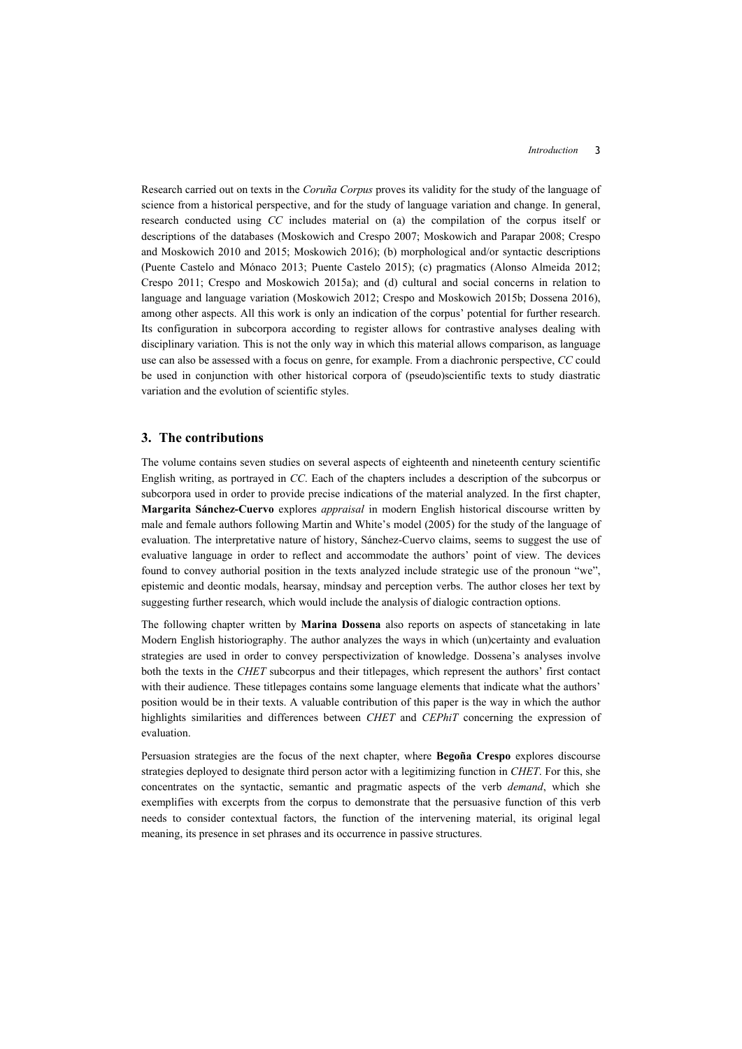Research carried out on texts in the *Coruña Corpus* proves its validity for the study of the language of science from a historical perspective, and for the study of language variation and change. In general, research conducted using *CC* includes material on (a) the compilation of the corpus itself or descriptions of the databases (Moskowich and Crespo 2007; Moskowich and Parapar 2008; Crespo and Moskowich 2010 and 2015; Moskowich 2016); (b) morphological and/or syntactic descriptions (Puente Castelo and Mónaco 2013; Puente Castelo 2015); (c) pragmatics (Alonso Almeida 2012; Crespo 2011; Crespo and Moskowich 2015a); and (d) cultural and social concerns in relation to language and language variation (Moskowich 2012; Crespo and Moskowich 2015b; Dossena 2016), among other aspects. All this work is only an indication of the corpus' potential for further research. Its configuration in subcorpora according to register allows for contrastive analyses dealing with disciplinary variation. This is not the only way in which this material allows comparison, as language use can also be assessed with a focus on genre, for example. From a diachronic perspective, *CC* could be used in conjunction with other historical corpora of (pseudo)scientific texts to study diastratic variation and the evolution of scientific styles.

### **3. The contributions**

The volume contains seven studies on several aspects of eighteenth and nineteenth century scientific English writing, as portrayed in *CC*. Each of the chapters includes a description of the subcorpus or subcorpora used in order to provide precise indications of the material analyzed. In the first chapter, **Margarita Sánchez-Cuervo** explores *appraisal* in modern English historical discourse written by male and female authors following Martin and White's model (2005) for the study of the language of evaluation. The interpretative nature of history, Sánchez-Cuervo claims, seems to suggest the use of evaluative language in order to reflect and accommodate the authors' point of view. The devices found to convey authorial position in the texts analyzed include strategic use of the pronoun "we", epistemic and deontic modals, hearsay, mindsay and perception verbs. The author closes her text by suggesting further research, which would include the analysis of dialogic contraction options.

The following chapter written by **Marina Dossena** also reports on aspects of stancetaking in late Modern English historiography. The author analyzes the ways in which (un)certainty and evaluation strategies are used in order to convey perspectivization of knowledge. Dossena's analyses involve both the texts in the *CHET* subcorpus and their titlepages, which represent the authors' first contact with their audience. These titlepages contains some language elements that indicate what the authors' position would be in their texts. A valuable contribution of this paper is the way in which the author highlights similarities and differences between *CHET* and *CEPhiT* concerning the expression of evaluation.

Persuasion strategies are the focus of the next chapter, where **Begoña Crespo** explores discourse strategies deployed to designate third person actor with a legitimizing function in *CHET*. For this, she concentrates on the syntactic, semantic and pragmatic aspects of the verb *demand*, which she exemplifies with excerpts from the corpus to demonstrate that the persuasive function of this verb needs to consider contextual factors, the function of the intervening material, its original legal meaning, its presence in set phrases and its occurrence in passive structures.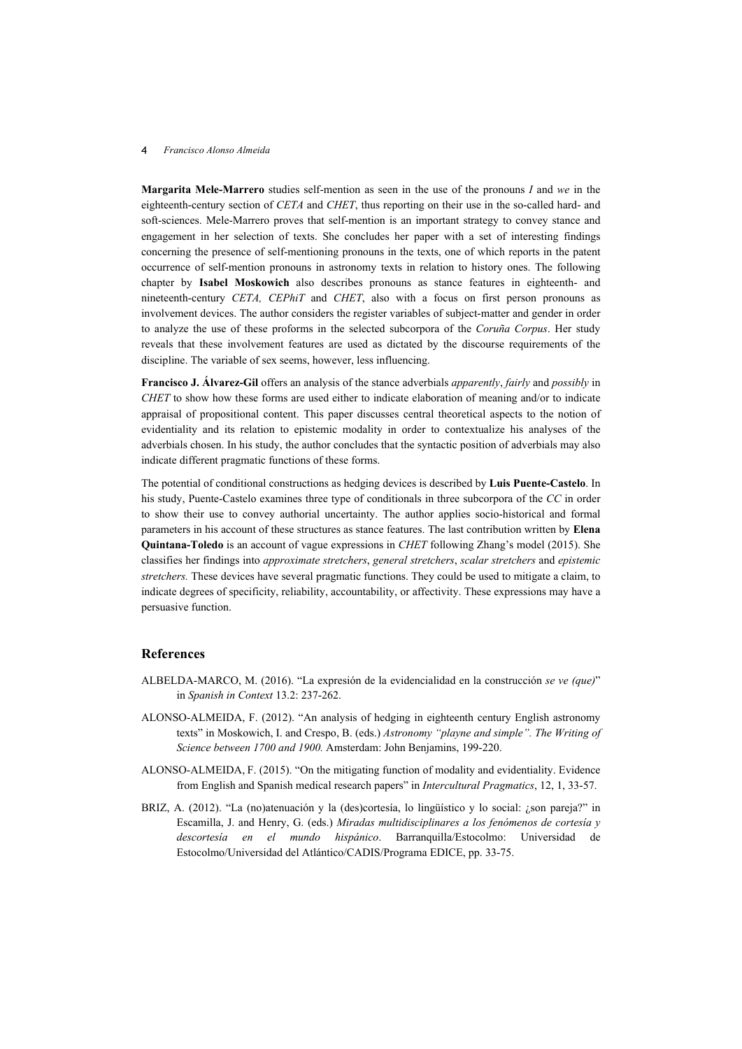#### 4 *Francisco Alonso Almeida*

**Margarita Mele-Marrero** studies self-mention as seen in the use of the pronouns *I* and *we* in the eighteenth-century section of *CETA* and *CHET*, thus reporting on their use in the so-called hard- and soft-sciences. Mele-Marrero proves that self-mention is an important strategy to convey stance and engagement in her selection of texts. She concludes her paper with a set of interesting findings concerning the presence of self-mentioning pronouns in the texts, one of which reports in the patent occurrence of self-mention pronouns in astronomy texts in relation to history ones. The following chapter by **Isabel Moskowich** also describes pronouns as stance features in eighteenth- and nineteenth-century *CETA, CEPhiT* and *CHET*, also with a focus on first person pronouns as involvement devices. The author considers the register variables of subject-matter and gender in order to analyze the use of these proforms in the selected subcorpora of the *Coruña Corpus*. Her study reveals that these involvement features are used as dictated by the discourse requirements of the discipline. The variable of sex seems, however, less influencing.

**Francisco J. Álvarez-Gil** offers an analysis of the stance adverbials *apparently*, *fairly* and *possibly* in *CHET* to show how these forms are used either to indicate elaboration of meaning and/or to indicate appraisal of propositional content. This paper discusses central theoretical aspects to the notion of evidentiality and its relation to epistemic modality in order to contextualize his analyses of the adverbials chosen. In his study, the author concludes that the syntactic position of adverbials may also indicate different pragmatic functions of these forms.

The potential of conditional constructions as hedging devices is described by **Luis Puente-Castelo**. In his study, Puente-Castelo examines three type of conditionals in three subcorpora of the *CC* in order to show their use to convey authorial uncertainty. The author applies socio-historical and formal parameters in his account of these structures as stance features. The last contribution written by **Elena Quintana-Toledo** is an account of vague expressions in *CHET* following Zhang's model (2015). She classifies her findings into *approximate stretchers*, *general stretchers*, *scalar stretchers* and *epistemic stretchers.* These devices have several pragmatic functions. They could be used to mitigate a claim, to indicate degrees of specificity, reliability, accountability, or affectivity. These expressions may have a persuasive function.

# **References**

- ALBELDA-MARCO, M. (2016). "La expresión de la evidencialidad en la construcción *se ve (que)*" in *Spanish in Context* 13.2: 237-262.
- ALONSO-ALMEIDA, F. (2012). "An analysis of hedging in eighteenth century English astronomy texts" in Moskowich, I. and Crespo, B. (eds.) *Astronomy "playne and simple". The Writing of Science between 1700 and 1900.* Amsterdam: John Benjamins, 199-220.
- ALONSO-ALMEIDA, F. (2015). "On the mitigating function of modality and evidentiality. Evidence from English and Spanish medical research papers" in *Intercultural Pragmatics*, 12, 1, 33-57.
- BRIZ, A. (2012). "La (no)atenuación y la (des)cortesía, lo lingüístico y lo social: ¿son pareja?" in Escamilla, J. and Henry, G. (eds.) *Miradas multidisciplinares a los fenómenos de cortesía y descortesía en el mundo hispánico*. Barranquilla/Estocolmo: Universidad de Estocolmo/Universidad del Atlántico/CADIS/Programa EDICE, pp. 33-75.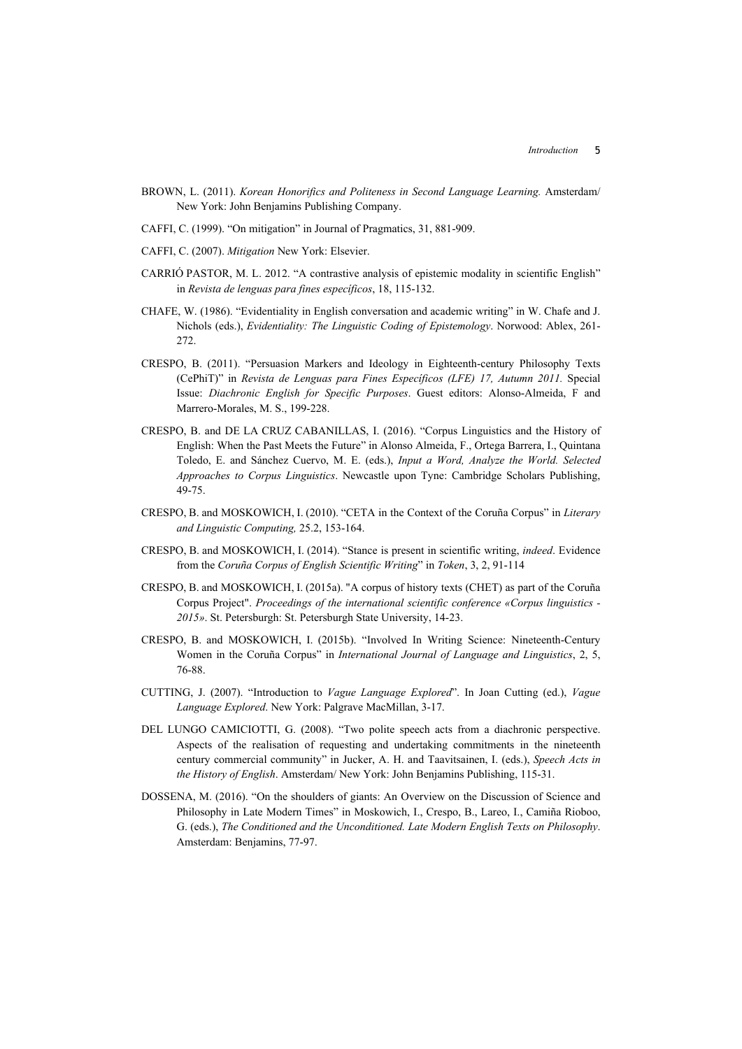- BROWN, L. (2011). *Korean Honorifics and Politeness in Second Language Learning.* Amsterdam/ New York: John Benjamins Publishing Company.
- CAFFI, C. (1999). "On mitigation" in Journal of Pragmatics, 31, 881-909.
- CAFFI, C. (2007). *Mitigation* New York: Elsevier.
- CARRIÓ PASTOR, M. L. 2012. "A contrastive analysis of epistemic modality in scientific English" in *Revista de lenguas para fines específicos*, 18, 115-132.
- CHAFE, W. (1986). "Evidentiality in English conversation and academic writing" in W. Chafe and J. Nichols (eds.), *Evidentiality: The Linguistic Coding of Epistemology*. Norwood: Ablex, 261- 272.
- CRESPO, B. (2011). "Persuasion Markers and Ideology in Eighteenth-century Philosophy Texts (CePhiT)" in *Revista de Lenguas para Fines Específicos (LFE) 17, Autumn 2011.* Special Issue: *Diachronic English for Specific Purposes*. Guest editors: Alonso-Almeida, F and Marrero-Morales, M. S., 199-228.
- CRESPO, B. and DE LA CRUZ CABANILLAS, I. (2016). "Corpus Linguistics and the History of English: When the Past Meets the Future" in Alonso Almeida, F., Ortega Barrera, I., Quintana Toledo, E. and Sánchez Cuervo, M. E. (eds.), *Input a Word, Analyze the World. Selected Approaches to Corpus Linguistics*. Newcastle upon Tyne: Cambridge Scholars Publishing, 49-75.
- CRESPO, B. and MOSKOWICH, I. (2010). "CETA in the Context of the Coruña Corpus" in *Literary and Linguistic Computing,* 25.2, 153-164.
- CRESPO, B. and MOSKOWICH, I. (2014). "Stance is present in scientific writing, *indeed*. Evidence from the *Coruña Corpus of English Scientific Writing*" in *Token*, 3, 2, 91-114
- CRESPO, B. and MOSKOWICH, I. (2015a). "A corpus of history texts (CHET) as part of the Coruña Corpus Project". *Proceedings of the international scientific conference «Corpus linguistics - 2015»*. St. Petersburgh: St. Petersburgh State University, 14-23.
- CRESPO, B. and MOSKOWICH, I. (2015b). "Involved In Writing Science: Nineteenth-Century Women in the Coruña Corpus" in *International Journal of Language and Linguistics*, 2, 5, 76-88.
- CUTTING, J. (2007). "Introduction to *Vague Language Explored*". In Joan Cutting (ed.), *Vague Language Explored*. New York: Palgrave MacMillan, 3-17.
- DEL LUNGO CAMICIOTTI, G. (2008). "Two polite speech acts from a diachronic perspective. Aspects of the realisation of requesting and undertaking commitments in the nineteenth century commercial community" in Jucker, A. H. and Taavitsainen, I. (eds.), *Speech Acts in the History of English*. Amsterdam/ New York: John Benjamins Publishing, 115-31.
- DOSSENA, M. (2016). "On the shoulders of giants: An Overview on the Discussion of Science and Philosophy in Late Modern Times" in Moskowich, I., Crespo, B., Lareo, I., Camiña Rioboo, G. (eds.), *The Conditioned and the Unconditioned. Late Modern English Texts on Philosophy*. Amsterdam: Benjamins, 77-97.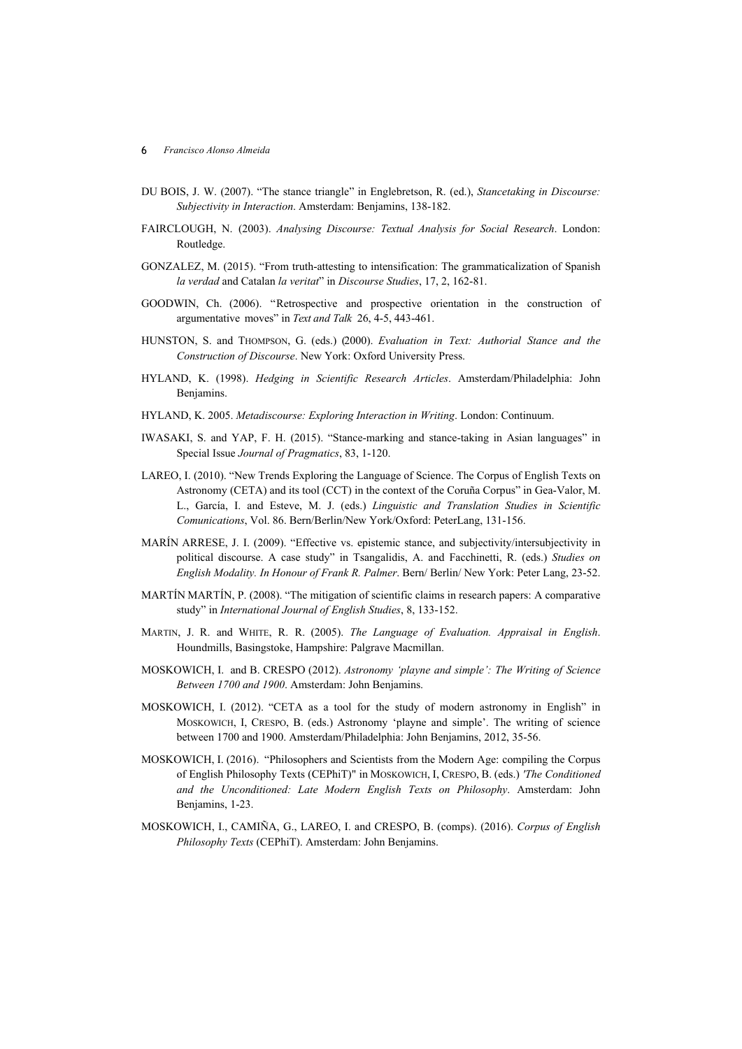- DU BOIS, J. W. (2007). "The stance triangle" in Englebretson, R. (ed.), *Stancetaking in Discourse: Subjectivity in Interaction*. Amsterdam: Benjamins, 138-182.
- FAIRCLOUGH, N. (2003). *Analysing Discourse: Textual Analysis for Social Research*. London: Routledge.
- GONZALEZ, M. (2015). "From truth-attesting to intensification: The grammaticalization of Spanish *la verdad* and Catalan *la veritat*" in *Discourse Studies*, 17, 2, 162-81.
- GOODWIN, Ch. (2006). "Retrospective and prospective orientation in the construction of argumentative moves" in *Text and Talk* 26, 4-5, 443-461.
- HUNSTON, S. and THOMPSON, G. (eds.) (2000). *Evaluation in Text: Authorial Stance and the Construction of Discourse*. New York: Oxford University Press.
- HYLAND, K. (1998). *Hedging in Scientific Research Articles*. Amsterdam/Philadelphia: John Benjamins.
- HYLAND, K. 2005. *Metadiscourse: Exploring Interaction in Writing*. London: Continuum.
- IWASAKI, S. and YAP, F. H. (2015). "Stance-marking and stance-taking in Asian languages" in Special Issue *Journal of Pragmatics*, 83, 1-120.
- LAREO, I. (2010). "New Trends Exploring the Language of Science. The Corpus of English Texts on Astronomy (CETA) and its tool (CCT) in the context of the Coruña Corpus" in Gea-Valor, M. L., García, I. and Esteve, M. J. (eds.) *Linguistic and Translation Studies in Scientific Comunications*, Vol. 86. Bern/Berlin/New York/Oxford: PeterLang, 131-156.
- MARÍN ARRESE, J. I. (2009). "Effective vs. epistemic stance, and subjectivity/intersubjectivity in political discourse. A case study" in Tsangalidis, A. and Facchinetti, R. (eds.) *Studies on English Modality. In Honour of Frank R. Palmer*. Bern/ Berlin/ New York: Peter Lang, 23-52.
- MARTÍN MARTÍN, P. (2008). "The mitigation of scientific claims in research papers: A comparative study" in *International Journal of English Studies*, 8, 133-152.
- MARTIN, J. R. and WHITE, R. R. (2005). *The Language of Evaluation. Appraisal in English*. Houndmills, Basingstoke, Hampshire: Palgrave Macmillan.
- MOSKOWICH, I. and B. CRESPO (2012). *Astronomy 'playne and simple': The Writing of Science Between 1700 and 1900*. Amsterdam: John Benjamins.
- MOSKOWICH, I. (2012). "CETA as a tool for the study of modern astronomy in English" in MOSKOWICH, I, CRESPO, B. (eds.) Astronomy 'playne and simple'. The writing of science between 1700 and 1900. Amsterdam/Philadelphia: John Benjamins, 2012, 35-56.
- MOSKOWICH, I. (2016). "Philosophers and Scientists from the Modern Age: compiling the Corpus of English Philosophy Texts (CEPhiT)" in MOSKOWICH, I, CRESPO, B. (eds.) *'The Conditioned and the Unconditioned: Late Modern English Texts on Philosophy*. Amsterdam: John Benjamins, 1-23.
- MOSKOWICH, I., CAMIÑA, G., LAREO, I. and CRESPO, B. (comps). (2016). *Corpus of English Philosophy Texts* (CEPhiT). Amsterdam: John Benjamins.